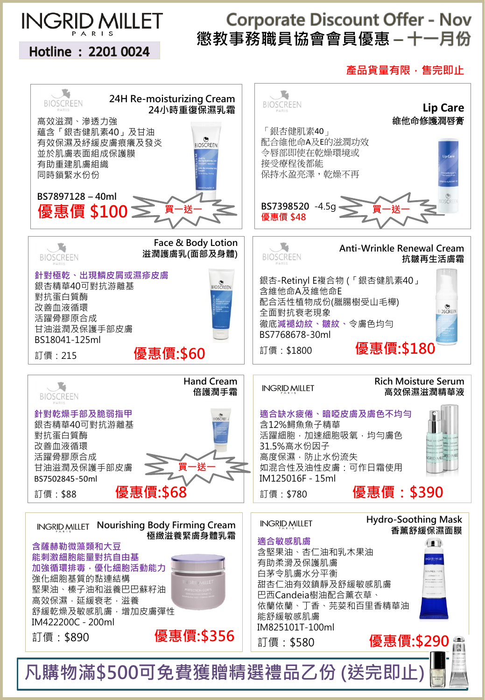

Hotline: 2201 0024

## **Corporate Discount Offer - Nov** 懲教事務職員協會會員優惠 – 十一月份

產品貨量有限,售完即止

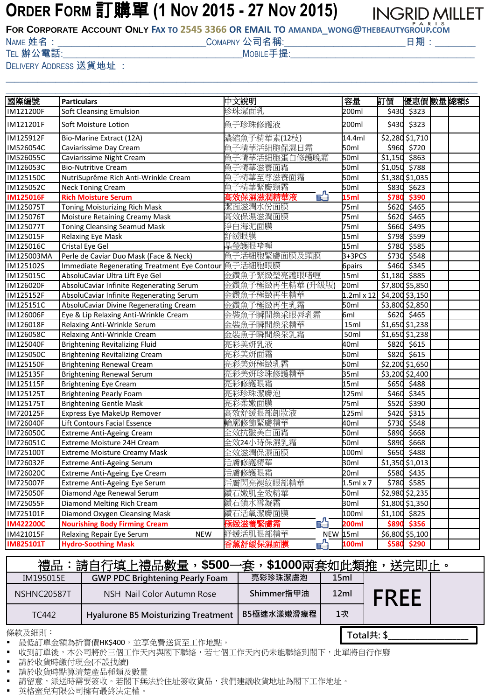## **ORDER FORM** 訂購單 **(1 NOV 2015 - 27 NOV 2015)**

**INGRID MILLET** 

FOR CORPORATE ACCOUNT ONLY FAX TO 2545 3366 OR EMAIL TO AMANDA\_WONG@THEBEAUTYGROUP.COM

NAME 姓名:\_\_\_\_\_\_\_\_\_\_\_\_\_\_\_\_\_\_\_\_\_\_\_\_\_\_\_\_\_\_\_\_\_COMAPNY 公司名稱:\_\_\_\_\_\_\_\_\_\_\_\_\_\_\_\_\_\_\_\_\_\_\_\_\_\_\_日期:\_\_\_\_\_\_\_\_\_

TEL 辦公電話:  $\blacksquare$ 

\_\_\_\_\_\_\_\_\_\_\_\_\_\_\_\_\_\_\_\_\_\_\_\_\_\_\_\_\_\_\_\_\_\_\_\_\_\_\_\_\_\_\_\_\_\_\_\_\_\_\_\_\_\_\_\_\_\_\_\_\_\_\_\_\_\_\_\_\_\_\_\_\_\_\_\_\_\_\_\_\_\_\_\_\_\_\_\_\_\_\_\_\_\_\_\_\_\_\_\_\_\_\_\_\_

DELIVERY ADDRESS 送貨地址 :

| 國際編號<br>訂價<br>中文說明<br>容量<br>優惠價 數量 總額\$<br><b>Particulars</b><br>珍珠潔面乳<br>Soft Cleansing Emulsion<br>200ml<br>\$430<br>\$323<br>魚子珍珠修護液<br>IM121201F<br>Soft Moisture Lotion<br>200ml<br>\$430<br>\$323<br>濃縮魚子精華素(12枝)<br>14.4ml<br>\$2,280 \$1,710<br>IM125912F<br>Bio-Marine Extract (12A)<br>魚子精華活細胞保濕日霜<br>Caviarissime Day Cream<br>50ml<br>\$960<br>\$720<br>魚子精華活細胞蛋白修護晚霜<br>\$863<br>IM526055C<br>Caviarissime Night Cream<br>50ml<br>\$1,150<br>魚子精華滋養面霜<br>\$788<br><b>Bio-Nutritive Cream</b><br>50ml<br>\$1,050<br>NutriSupreme Rich Anti-Wrinkle Cream<br>魚子精華至尊滋養面霜<br>50ml<br>\$1,380 \$1,035<br>魚子精華緊膚頸霜<br>\$623<br>IM125052C<br>50ml<br>\$830<br><b>Neck Toning Cream</b><br>E <sup>A</sup><br><b>Rich Moisture Serum</b><br>\$390<br><b>IM125016F</b><br>15ml<br>\$780<br>哥效保濕滋潤精華液<br><b>Toning Moisturizing Rich Mask</b><br>絜面滋潤水份面膜<br>75ml<br>\$620<br>\$465<br>高效保濕滋潤面膜<br>Moisture Retaining Creamy Mask<br>75ml<br>\$620<br>\$465<br>爭白海泥面膜<br>$\frac{1}{2}495$<br><b>Toning Cleansing Seamud Mask</b><br>75ml<br>\$660<br><b>Relaxing Eye Mask</b><br>15ml<br>舒緩眼膜<br>\$798<br>\$599<br>晶瑩護眼啫喱<br>15ml<br>\$780<br>\$585<br>Cristal Eye Gel<br>IM125016C<br>Perle de Caviar Duo Mask (Face & Neck)<br>魚子活細胞緊膚面膜及頸膜<br>$3+3PCS$<br>\$730<br>\$548<br>Immediate Regenerating Treatment Eye Contour   魚子活細胞眼膜<br>6pairs<br>\$460<br>\$345<br>金鑽魚子緊緻瑩亮護眼啫喱<br>15ml<br>\$885<br>AbsoluCaviar Ultra Lift Eye Gel<br>\$1,180<br>AbsoluCaviar Infinite Regenerating Serum<br>20 <sub>m</sub><br>金鑽魚子極緻再生精華 (升級版)<br>\$7,800 \$5,850<br>金鑽魚子極緻再生精華<br>$1.2$ ml x 12<br>\$4,200 \$3,150<br>AbsoluCaviar Infinite Regenerating Serum<br>50 <sub>m</sub><br>AbsoluCaviar Divine Regenerating Cream<br>金鑽魚子極緻再生乳霜<br>\$3,800 \$2,850<br>金裝魚子瞬間煥采眼唇乳霜<br>Eye & Lip Relaxing Anti-Wrinkle Cream<br>6ml<br>\$620 \$465<br>金裝魚子瞬間煥采精華<br>Relaxing Anti-Wrinkle Serum<br>15ml<br>\$1,650 \$1,238<br>金裝魚子瞬間煥采乳霜<br>50ml<br>Relaxing Anti-Wrinkle Cream<br>\$1,650 \$1,238<br>40 <sub>m</sub><br>亮彩美妍乳液<br><b>Brightening Revitalizing Fluid</b><br>\$820 \$615<br><b>Brightening Revitalizing Cream</b><br>亮彩美妍面霜<br>50ml<br>\$820 \$615<br><b>Brightening Renewal Cream</b><br>亮彩美妍極緻乳霜<br>50 <sub>m1</sub><br>\$2,200 \$1,650<br><b>Brightening Renewal Serum</b><br>亮彩美妍珍珠修護精華<br>35ml<br>\$3,200 \$2,400<br>亮彩修護眼霜<br><b>Brightening Eye Cream</b><br>15ml<br>\$650<br>\$488<br>亮彩珍珠潔膚泡<br><b>Brightening Pearly Foam</b><br>125ml<br>\$345<br>\$460<br>75ml<br><b>Brightening Gentle Mask</b><br>亮彩柔嫩面膜<br>\$520<br>\$390<br>高效舒緩眼部卸妝液<br>125ml<br>\$420<br>$\overline{$}315$<br>Express Eye MakeUp Remover<br>Lift Contours Facial Essence<br>輪廓修飾緊膚精華<br>40ml<br>\$730<br>\$548<br>全效抗皺美白面霜<br>\$668<br><b>Extreme Anti-Ageing Cream</b><br>50ml<br>\$890<br>全效24小時保濕乳霜<br>Extreme Moisture 24H Cream<br>50ml<br>\$890<br>\$668<br>全效滋潤保濕面膜<br>100ml<br><b>Extreme Moisture Creamy Mask</b><br>\$650<br>\$488<br>活膚修護精華<br>30ml<br>\$1,350 \$1,013<br>Extreme Anti-Ageing Serum<br>活膚修護眼霜<br>20ml<br>\$580<br>\$435<br>Extreme Anti-Ageing Eye Cream<br>IM725007F<br>活膚閃亮褪紋眼部精華<br>\$780 \$585<br>Extreme Anti-Ageing Eye Serum<br>1.5ml x 7<br>鑽石嫩肌全效精華<br>\$2,980 \$2,235<br>Diamond Age Renewal Serum<br>50ml<br>Diamond Melting Rich Cream<br>鑽石鎖水雪凝霜<br>30ml<br>\$1,800 \$1,350<br>IM725055F<br>Diamond Oxygen Cleansing Mask<br>鑽石活氧潔膚面膜<br>100ml<br>\$825<br>IM725101F<br>\$1,100<br>眙<br>亟緻滋養緊膚霜<br>200ml<br>\$356<br><b>IM422200C</b><br><b>Nourishing Body Firming Cream</b><br>\$890<br>紓緩活肌眼部精華<br>\$6,800 \$5,100<br>NEW 15ml<br>IM421015F<br>Relaxing Repair Eye Serum<br><b>NEW</b><br>\$580 \$290 |                  |                            |                            |       |  |  |
|------------------------------------------------------------------------------------------------------------------------------------------------------------------------------------------------------------------------------------------------------------------------------------------------------------------------------------------------------------------------------------------------------------------------------------------------------------------------------------------------------------------------------------------------------------------------------------------------------------------------------------------------------------------------------------------------------------------------------------------------------------------------------------------------------------------------------------------------------------------------------------------------------------------------------------------------------------------------------------------------------------------------------------------------------------------------------------------------------------------------------------------------------------------------------------------------------------------------------------------------------------------------------------------------------------------------------------------------------------------------------------------------------------------------------------------------------------------------------------------------------------------------------------------------------------------------------------------------------------------------------------------------------------------------------------------------------------------------------------------------------------------------------------------------------------------------------------------------------------------------------------------------------------------------------------------------------------------------------------------------------------------------------------------------------------------------------------------------------------------------------------------------------------------------------------------------------------------------------------------------------------------------------------------------------------------------------------------------------------------------------------------------------------------------------------------------------------------------------------------------------------------------------------------------------------------------------------------------------------------------------------------------------------------------------------------------------------------------------------------------------------------------------------------------------------------------------------------------------------------------------------------------------------------------------------------------------------------------------------------------------------------------------------------------------------------------------------------------------------------------------------------------------------------------------------------------------------------------------------------------------------------------------------------------------------------------------------------------------------------------------------------------------------------------------------------------------------------------------------------------------------------------------------------------------------------------------------------------------------------------------------|------------------|----------------------------|----------------------------|-------|--|--|
|                                                                                                                                                                                                                                                                                                                                                                                                                                                                                                                                                                                                                                                                                                                                                                                                                                                                                                                                                                                                                                                                                                                                                                                                                                                                                                                                                                                                                                                                                                                                                                                                                                                                                                                                                                                                                                                                                                                                                                                                                                                                                                                                                                                                                                                                                                                                                                                                                                                                                                                                                                                                                                                                                                                                                                                                                                                                                                                                                                                                                                                                                                                                                                                                                                                                                                                                                                                                                                                                                                                                                                                                                                    |                  |                            |                            |       |  |  |
|                                                                                                                                                                                                                                                                                                                                                                                                                                                                                                                                                                                                                                                                                                                                                                                                                                                                                                                                                                                                                                                                                                                                                                                                                                                                                                                                                                                                                                                                                                                                                                                                                                                                                                                                                                                                                                                                                                                                                                                                                                                                                                                                                                                                                                                                                                                                                                                                                                                                                                                                                                                                                                                                                                                                                                                                                                                                                                                                                                                                                                                                                                                                                                                                                                                                                                                                                                                                                                                                                                                                                                                                                                    | IM121200F        |                            |                            |       |  |  |
|                                                                                                                                                                                                                                                                                                                                                                                                                                                                                                                                                                                                                                                                                                                                                                                                                                                                                                                                                                                                                                                                                                                                                                                                                                                                                                                                                                                                                                                                                                                                                                                                                                                                                                                                                                                                                                                                                                                                                                                                                                                                                                                                                                                                                                                                                                                                                                                                                                                                                                                                                                                                                                                                                                                                                                                                                                                                                                                                                                                                                                                                                                                                                                                                                                                                                                                                                                                                                                                                                                                                                                                                                                    |                  |                            |                            |       |  |  |
|                                                                                                                                                                                                                                                                                                                                                                                                                                                                                                                                                                                                                                                                                                                                                                                                                                                                                                                                                                                                                                                                                                                                                                                                                                                                                                                                                                                                                                                                                                                                                                                                                                                                                                                                                                                                                                                                                                                                                                                                                                                                                                                                                                                                                                                                                                                                                                                                                                                                                                                                                                                                                                                                                                                                                                                                                                                                                                                                                                                                                                                                                                                                                                                                                                                                                                                                                                                                                                                                                                                                                                                                                                    |                  |                            |                            |       |  |  |
|                                                                                                                                                                                                                                                                                                                                                                                                                                                                                                                                                                                                                                                                                                                                                                                                                                                                                                                                                                                                                                                                                                                                                                                                                                                                                                                                                                                                                                                                                                                                                                                                                                                                                                                                                                                                                                                                                                                                                                                                                                                                                                                                                                                                                                                                                                                                                                                                                                                                                                                                                                                                                                                                                                                                                                                                                                                                                                                                                                                                                                                                                                                                                                                                                                                                                                                                                                                                                                                                                                                                                                                                                                    | IM526054C        |                            |                            |       |  |  |
|                                                                                                                                                                                                                                                                                                                                                                                                                                                                                                                                                                                                                                                                                                                                                                                                                                                                                                                                                                                                                                                                                                                                                                                                                                                                                                                                                                                                                                                                                                                                                                                                                                                                                                                                                                                                                                                                                                                                                                                                                                                                                                                                                                                                                                                                                                                                                                                                                                                                                                                                                                                                                                                                                                                                                                                                                                                                                                                                                                                                                                                                                                                                                                                                                                                                                                                                                                                                                                                                                                                                                                                                                                    |                  |                            |                            |       |  |  |
|                                                                                                                                                                                                                                                                                                                                                                                                                                                                                                                                                                                                                                                                                                                                                                                                                                                                                                                                                                                                                                                                                                                                                                                                                                                                                                                                                                                                                                                                                                                                                                                                                                                                                                                                                                                                                                                                                                                                                                                                                                                                                                                                                                                                                                                                                                                                                                                                                                                                                                                                                                                                                                                                                                                                                                                                                                                                                                                                                                                                                                                                                                                                                                                                                                                                                                                                                                                                                                                                                                                                                                                                                                    | IM126053C        |                            |                            |       |  |  |
|                                                                                                                                                                                                                                                                                                                                                                                                                                                                                                                                                                                                                                                                                                                                                                                                                                                                                                                                                                                                                                                                                                                                                                                                                                                                                                                                                                                                                                                                                                                                                                                                                                                                                                                                                                                                                                                                                                                                                                                                                                                                                                                                                                                                                                                                                                                                                                                                                                                                                                                                                                                                                                                                                                                                                                                                                                                                                                                                                                                                                                                                                                                                                                                                                                                                                                                                                                                                                                                                                                                                                                                                                                    | IM125150C        |                            |                            |       |  |  |
|                                                                                                                                                                                                                                                                                                                                                                                                                                                                                                                                                                                                                                                                                                                                                                                                                                                                                                                                                                                                                                                                                                                                                                                                                                                                                                                                                                                                                                                                                                                                                                                                                                                                                                                                                                                                                                                                                                                                                                                                                                                                                                                                                                                                                                                                                                                                                                                                                                                                                                                                                                                                                                                                                                                                                                                                                                                                                                                                                                                                                                                                                                                                                                                                                                                                                                                                                                                                                                                                                                                                                                                                                                    |                  |                            |                            |       |  |  |
|                                                                                                                                                                                                                                                                                                                                                                                                                                                                                                                                                                                                                                                                                                                                                                                                                                                                                                                                                                                                                                                                                                                                                                                                                                                                                                                                                                                                                                                                                                                                                                                                                                                                                                                                                                                                                                                                                                                                                                                                                                                                                                                                                                                                                                                                                                                                                                                                                                                                                                                                                                                                                                                                                                                                                                                                                                                                                                                                                                                                                                                                                                                                                                                                                                                                                                                                                                                                                                                                                                                                                                                                                                    |                  |                            |                            |       |  |  |
|                                                                                                                                                                                                                                                                                                                                                                                                                                                                                                                                                                                                                                                                                                                                                                                                                                                                                                                                                                                                                                                                                                                                                                                                                                                                                                                                                                                                                                                                                                                                                                                                                                                                                                                                                                                                                                                                                                                                                                                                                                                                                                                                                                                                                                                                                                                                                                                                                                                                                                                                                                                                                                                                                                                                                                                                                                                                                                                                                                                                                                                                                                                                                                                                                                                                                                                                                                                                                                                                                                                                                                                                                                    | IM125075T        |                            |                            |       |  |  |
|                                                                                                                                                                                                                                                                                                                                                                                                                                                                                                                                                                                                                                                                                                                                                                                                                                                                                                                                                                                                                                                                                                                                                                                                                                                                                                                                                                                                                                                                                                                                                                                                                                                                                                                                                                                                                                                                                                                                                                                                                                                                                                                                                                                                                                                                                                                                                                                                                                                                                                                                                                                                                                                                                                                                                                                                                                                                                                                                                                                                                                                                                                                                                                                                                                                                                                                                                                                                                                                                                                                                                                                                                                    | IM125076T        |                            |                            |       |  |  |
|                                                                                                                                                                                                                                                                                                                                                                                                                                                                                                                                                                                                                                                                                                                                                                                                                                                                                                                                                                                                                                                                                                                                                                                                                                                                                                                                                                                                                                                                                                                                                                                                                                                                                                                                                                                                                                                                                                                                                                                                                                                                                                                                                                                                                                                                                                                                                                                                                                                                                                                                                                                                                                                                                                                                                                                                                                                                                                                                                                                                                                                                                                                                                                                                                                                                                                                                                                                                                                                                                                                                                                                                                                    | IM125077T        |                            |                            |       |  |  |
|                                                                                                                                                                                                                                                                                                                                                                                                                                                                                                                                                                                                                                                                                                                                                                                                                                                                                                                                                                                                                                                                                                                                                                                                                                                                                                                                                                                                                                                                                                                                                                                                                                                                                                                                                                                                                                                                                                                                                                                                                                                                                                                                                                                                                                                                                                                                                                                                                                                                                                                                                                                                                                                                                                                                                                                                                                                                                                                                                                                                                                                                                                                                                                                                                                                                                                                                                                                                                                                                                                                                                                                                                                    | IM125015F        |                            |                            |       |  |  |
|                                                                                                                                                                                                                                                                                                                                                                                                                                                                                                                                                                                                                                                                                                                                                                                                                                                                                                                                                                                                                                                                                                                                                                                                                                                                                                                                                                                                                                                                                                                                                                                                                                                                                                                                                                                                                                                                                                                                                                                                                                                                                                                                                                                                                                                                                                                                                                                                                                                                                                                                                                                                                                                                                                                                                                                                                                                                                                                                                                                                                                                                                                                                                                                                                                                                                                                                                                                                                                                                                                                                                                                                                                    |                  |                            |                            |       |  |  |
|                                                                                                                                                                                                                                                                                                                                                                                                                                                                                                                                                                                                                                                                                                                                                                                                                                                                                                                                                                                                                                                                                                                                                                                                                                                                                                                                                                                                                                                                                                                                                                                                                                                                                                                                                                                                                                                                                                                                                                                                                                                                                                                                                                                                                                                                                                                                                                                                                                                                                                                                                                                                                                                                                                                                                                                                                                                                                                                                                                                                                                                                                                                                                                                                                                                                                                                                                                                                                                                                                                                                                                                                                                    | IM125003MA       |                            |                            |       |  |  |
|                                                                                                                                                                                                                                                                                                                                                                                                                                                                                                                                                                                                                                                                                                                                                                                                                                                                                                                                                                                                                                                                                                                                                                                                                                                                                                                                                                                                                                                                                                                                                                                                                                                                                                                                                                                                                                                                                                                                                                                                                                                                                                                                                                                                                                                                                                                                                                                                                                                                                                                                                                                                                                                                                                                                                                                                                                                                                                                                                                                                                                                                                                                                                                                                                                                                                                                                                                                                                                                                                                                                                                                                                                    | IM125102S        |                            |                            |       |  |  |
|                                                                                                                                                                                                                                                                                                                                                                                                                                                                                                                                                                                                                                                                                                                                                                                                                                                                                                                                                                                                                                                                                                                                                                                                                                                                                                                                                                                                                                                                                                                                                                                                                                                                                                                                                                                                                                                                                                                                                                                                                                                                                                                                                                                                                                                                                                                                                                                                                                                                                                                                                                                                                                                                                                                                                                                                                                                                                                                                                                                                                                                                                                                                                                                                                                                                                                                                                                                                                                                                                                                                                                                                                                    | IM125015C        |                            |                            |       |  |  |
|                                                                                                                                                                                                                                                                                                                                                                                                                                                                                                                                                                                                                                                                                                                                                                                                                                                                                                                                                                                                                                                                                                                                                                                                                                                                                                                                                                                                                                                                                                                                                                                                                                                                                                                                                                                                                                                                                                                                                                                                                                                                                                                                                                                                                                                                                                                                                                                                                                                                                                                                                                                                                                                                                                                                                                                                                                                                                                                                                                                                                                                                                                                                                                                                                                                                                                                                                                                                                                                                                                                                                                                                                                    | IM126020F        |                            |                            |       |  |  |
|                                                                                                                                                                                                                                                                                                                                                                                                                                                                                                                                                                                                                                                                                                                                                                                                                                                                                                                                                                                                                                                                                                                                                                                                                                                                                                                                                                                                                                                                                                                                                                                                                                                                                                                                                                                                                                                                                                                                                                                                                                                                                                                                                                                                                                                                                                                                                                                                                                                                                                                                                                                                                                                                                                                                                                                                                                                                                                                                                                                                                                                                                                                                                                                                                                                                                                                                                                                                                                                                                                                                                                                                                                    | IM125152F        |                            |                            |       |  |  |
|                                                                                                                                                                                                                                                                                                                                                                                                                                                                                                                                                                                                                                                                                                                                                                                                                                                                                                                                                                                                                                                                                                                                                                                                                                                                                                                                                                                                                                                                                                                                                                                                                                                                                                                                                                                                                                                                                                                                                                                                                                                                                                                                                                                                                                                                                                                                                                                                                                                                                                                                                                                                                                                                                                                                                                                                                                                                                                                                                                                                                                                                                                                                                                                                                                                                                                                                                                                                                                                                                                                                                                                                                                    | IM125151C        |                            |                            |       |  |  |
|                                                                                                                                                                                                                                                                                                                                                                                                                                                                                                                                                                                                                                                                                                                                                                                                                                                                                                                                                                                                                                                                                                                                                                                                                                                                                                                                                                                                                                                                                                                                                                                                                                                                                                                                                                                                                                                                                                                                                                                                                                                                                                                                                                                                                                                                                                                                                                                                                                                                                                                                                                                                                                                                                                                                                                                                                                                                                                                                                                                                                                                                                                                                                                                                                                                                                                                                                                                                                                                                                                                                                                                                                                    | IM126006F        |                            |                            |       |  |  |
|                                                                                                                                                                                                                                                                                                                                                                                                                                                                                                                                                                                                                                                                                                                                                                                                                                                                                                                                                                                                                                                                                                                                                                                                                                                                                                                                                                                                                                                                                                                                                                                                                                                                                                                                                                                                                                                                                                                                                                                                                                                                                                                                                                                                                                                                                                                                                                                                                                                                                                                                                                                                                                                                                                                                                                                                                                                                                                                                                                                                                                                                                                                                                                                                                                                                                                                                                                                                                                                                                                                                                                                                                                    | IM126018F        |                            |                            |       |  |  |
|                                                                                                                                                                                                                                                                                                                                                                                                                                                                                                                                                                                                                                                                                                                                                                                                                                                                                                                                                                                                                                                                                                                                                                                                                                                                                                                                                                                                                                                                                                                                                                                                                                                                                                                                                                                                                                                                                                                                                                                                                                                                                                                                                                                                                                                                                                                                                                                                                                                                                                                                                                                                                                                                                                                                                                                                                                                                                                                                                                                                                                                                                                                                                                                                                                                                                                                                                                                                                                                                                                                                                                                                                                    | IM126058C        |                            |                            |       |  |  |
|                                                                                                                                                                                                                                                                                                                                                                                                                                                                                                                                                                                                                                                                                                                                                                                                                                                                                                                                                                                                                                                                                                                                                                                                                                                                                                                                                                                                                                                                                                                                                                                                                                                                                                                                                                                                                                                                                                                                                                                                                                                                                                                                                                                                                                                                                                                                                                                                                                                                                                                                                                                                                                                                                                                                                                                                                                                                                                                                                                                                                                                                                                                                                                                                                                                                                                                                                                                                                                                                                                                                                                                                                                    | IM125040F        |                            |                            |       |  |  |
|                                                                                                                                                                                                                                                                                                                                                                                                                                                                                                                                                                                                                                                                                                                                                                                                                                                                                                                                                                                                                                                                                                                                                                                                                                                                                                                                                                                                                                                                                                                                                                                                                                                                                                                                                                                                                                                                                                                                                                                                                                                                                                                                                                                                                                                                                                                                                                                                                                                                                                                                                                                                                                                                                                                                                                                                                                                                                                                                                                                                                                                                                                                                                                                                                                                                                                                                                                                                                                                                                                                                                                                                                                    | <b>IM125050C</b> |                            |                            |       |  |  |
|                                                                                                                                                                                                                                                                                                                                                                                                                                                                                                                                                                                                                                                                                                                                                                                                                                                                                                                                                                                                                                                                                                                                                                                                                                                                                                                                                                                                                                                                                                                                                                                                                                                                                                                                                                                                                                                                                                                                                                                                                                                                                                                                                                                                                                                                                                                                                                                                                                                                                                                                                                                                                                                                                                                                                                                                                                                                                                                                                                                                                                                                                                                                                                                                                                                                                                                                                                                                                                                                                                                                                                                                                                    | IM125150F        |                            |                            |       |  |  |
|                                                                                                                                                                                                                                                                                                                                                                                                                                                                                                                                                                                                                                                                                                                                                                                                                                                                                                                                                                                                                                                                                                                                                                                                                                                                                                                                                                                                                                                                                                                                                                                                                                                                                                                                                                                                                                                                                                                                                                                                                                                                                                                                                                                                                                                                                                                                                                                                                                                                                                                                                                                                                                                                                                                                                                                                                                                                                                                                                                                                                                                                                                                                                                                                                                                                                                                                                                                                                                                                                                                                                                                                                                    | IM125135F        |                            |                            |       |  |  |
|                                                                                                                                                                                                                                                                                                                                                                                                                                                                                                                                                                                                                                                                                                                                                                                                                                                                                                                                                                                                                                                                                                                                                                                                                                                                                                                                                                                                                                                                                                                                                                                                                                                                                                                                                                                                                                                                                                                                                                                                                                                                                                                                                                                                                                                                                                                                                                                                                                                                                                                                                                                                                                                                                                                                                                                                                                                                                                                                                                                                                                                                                                                                                                                                                                                                                                                                                                                                                                                                                                                                                                                                                                    | IM125115F        |                            |                            |       |  |  |
|                                                                                                                                                                                                                                                                                                                                                                                                                                                                                                                                                                                                                                                                                                                                                                                                                                                                                                                                                                                                                                                                                                                                                                                                                                                                                                                                                                                                                                                                                                                                                                                                                                                                                                                                                                                                                                                                                                                                                                                                                                                                                                                                                                                                                                                                                                                                                                                                                                                                                                                                                                                                                                                                                                                                                                                                                                                                                                                                                                                                                                                                                                                                                                                                                                                                                                                                                                                                                                                                                                                                                                                                                                    | IM125125T        |                            |                            |       |  |  |
|                                                                                                                                                                                                                                                                                                                                                                                                                                                                                                                                                                                                                                                                                                                                                                                                                                                                                                                                                                                                                                                                                                                                                                                                                                                                                                                                                                                                                                                                                                                                                                                                                                                                                                                                                                                                                                                                                                                                                                                                                                                                                                                                                                                                                                                                                                                                                                                                                                                                                                                                                                                                                                                                                                                                                                                                                                                                                                                                                                                                                                                                                                                                                                                                                                                                                                                                                                                                                                                                                                                                                                                                                                    | IM125175T        |                            |                            |       |  |  |
|                                                                                                                                                                                                                                                                                                                                                                                                                                                                                                                                                                                                                                                                                                                                                                                                                                                                                                                                                                                                                                                                                                                                                                                                                                                                                                                                                                                                                                                                                                                                                                                                                                                                                                                                                                                                                                                                                                                                                                                                                                                                                                                                                                                                                                                                                                                                                                                                                                                                                                                                                                                                                                                                                                                                                                                                                                                                                                                                                                                                                                                                                                                                                                                                                                                                                                                                                                                                                                                                                                                                                                                                                                    | IM720125F        |                            |                            |       |  |  |
|                                                                                                                                                                                                                                                                                                                                                                                                                                                                                                                                                                                                                                                                                                                                                                                                                                                                                                                                                                                                                                                                                                                                                                                                                                                                                                                                                                                                                                                                                                                                                                                                                                                                                                                                                                                                                                                                                                                                                                                                                                                                                                                                                                                                                                                                                                                                                                                                                                                                                                                                                                                                                                                                                                                                                                                                                                                                                                                                                                                                                                                                                                                                                                                                                                                                                                                                                                                                                                                                                                                                                                                                                                    | IM726040F        |                            |                            |       |  |  |
|                                                                                                                                                                                                                                                                                                                                                                                                                                                                                                                                                                                                                                                                                                                                                                                                                                                                                                                                                                                                                                                                                                                                                                                                                                                                                                                                                                                                                                                                                                                                                                                                                                                                                                                                                                                                                                                                                                                                                                                                                                                                                                                                                                                                                                                                                                                                                                                                                                                                                                                                                                                                                                                                                                                                                                                                                                                                                                                                                                                                                                                                                                                                                                                                                                                                                                                                                                                                                                                                                                                                                                                                                                    | IM726050C        |                            |                            |       |  |  |
|                                                                                                                                                                                                                                                                                                                                                                                                                                                                                                                                                                                                                                                                                                                                                                                                                                                                                                                                                                                                                                                                                                                                                                                                                                                                                                                                                                                                                                                                                                                                                                                                                                                                                                                                                                                                                                                                                                                                                                                                                                                                                                                                                                                                                                                                                                                                                                                                                                                                                                                                                                                                                                                                                                                                                                                                                                                                                                                                                                                                                                                                                                                                                                                                                                                                                                                                                                                                                                                                                                                                                                                                                                    | IM726051C        |                            |                            |       |  |  |
|                                                                                                                                                                                                                                                                                                                                                                                                                                                                                                                                                                                                                                                                                                                                                                                                                                                                                                                                                                                                                                                                                                                                                                                                                                                                                                                                                                                                                                                                                                                                                                                                                                                                                                                                                                                                                                                                                                                                                                                                                                                                                                                                                                                                                                                                                                                                                                                                                                                                                                                                                                                                                                                                                                                                                                                                                                                                                                                                                                                                                                                                                                                                                                                                                                                                                                                                                                                                                                                                                                                                                                                                                                    | IM725100T        |                            |                            |       |  |  |
|                                                                                                                                                                                                                                                                                                                                                                                                                                                                                                                                                                                                                                                                                                                                                                                                                                                                                                                                                                                                                                                                                                                                                                                                                                                                                                                                                                                                                                                                                                                                                                                                                                                                                                                                                                                                                                                                                                                                                                                                                                                                                                                                                                                                                                                                                                                                                                                                                                                                                                                                                                                                                                                                                                                                                                                                                                                                                                                                                                                                                                                                                                                                                                                                                                                                                                                                                                                                                                                                                                                                                                                                                                    | IM726032F        |                            |                            |       |  |  |
|                                                                                                                                                                                                                                                                                                                                                                                                                                                                                                                                                                                                                                                                                                                                                                                                                                                                                                                                                                                                                                                                                                                                                                                                                                                                                                                                                                                                                                                                                                                                                                                                                                                                                                                                                                                                                                                                                                                                                                                                                                                                                                                                                                                                                                                                                                                                                                                                                                                                                                                                                                                                                                                                                                                                                                                                                                                                                                                                                                                                                                                                                                                                                                                                                                                                                                                                                                                                                                                                                                                                                                                                                                    | IM726020C        |                            |                            |       |  |  |
|                                                                                                                                                                                                                                                                                                                                                                                                                                                                                                                                                                                                                                                                                                                                                                                                                                                                                                                                                                                                                                                                                                                                                                                                                                                                                                                                                                                                                                                                                                                                                                                                                                                                                                                                                                                                                                                                                                                                                                                                                                                                                                                                                                                                                                                                                                                                                                                                                                                                                                                                                                                                                                                                                                                                                                                                                                                                                                                                                                                                                                                                                                                                                                                                                                                                                                                                                                                                                                                                                                                                                                                                                                    |                  |                            |                            |       |  |  |
|                                                                                                                                                                                                                                                                                                                                                                                                                                                                                                                                                                                                                                                                                                                                                                                                                                                                                                                                                                                                                                                                                                                                                                                                                                                                                                                                                                                                                                                                                                                                                                                                                                                                                                                                                                                                                                                                                                                                                                                                                                                                                                                                                                                                                                                                                                                                                                                                                                                                                                                                                                                                                                                                                                                                                                                                                                                                                                                                                                                                                                                                                                                                                                                                                                                                                                                                                                                                                                                                                                                                                                                                                                    | IM725050F        |                            |                            |       |  |  |
|                                                                                                                                                                                                                                                                                                                                                                                                                                                                                                                                                                                                                                                                                                                                                                                                                                                                                                                                                                                                                                                                                                                                                                                                                                                                                                                                                                                                                                                                                                                                                                                                                                                                                                                                                                                                                                                                                                                                                                                                                                                                                                                                                                                                                                                                                                                                                                                                                                                                                                                                                                                                                                                                                                                                                                                                                                                                                                                                                                                                                                                                                                                                                                                                                                                                                                                                                                                                                                                                                                                                                                                                                                    |                  |                            |                            |       |  |  |
|                                                                                                                                                                                                                                                                                                                                                                                                                                                                                                                                                                                                                                                                                                                                                                                                                                                                                                                                                                                                                                                                                                                                                                                                                                                                                                                                                                                                                                                                                                                                                                                                                                                                                                                                                                                                                                                                                                                                                                                                                                                                                                                                                                                                                                                                                                                                                                                                                                                                                                                                                                                                                                                                                                                                                                                                                                                                                                                                                                                                                                                                                                                                                                                                                                                                                                                                                                                                                                                                                                                                                                                                                                    |                  |                            |                            |       |  |  |
|                                                                                                                                                                                                                                                                                                                                                                                                                                                                                                                                                                                                                                                                                                                                                                                                                                                                                                                                                                                                                                                                                                                                                                                                                                                                                                                                                                                                                                                                                                                                                                                                                                                                                                                                                                                                                                                                                                                                                                                                                                                                                                                                                                                                                                                                                                                                                                                                                                                                                                                                                                                                                                                                                                                                                                                                                                                                                                                                                                                                                                                                                                                                                                                                                                                                                                                                                                                                                                                                                                                                                                                                                                    |                  |                            |                            |       |  |  |
|                                                                                                                                                                                                                                                                                                                                                                                                                                                                                                                                                                                                                                                                                                                                                                                                                                                                                                                                                                                                                                                                                                                                                                                                                                                                                                                                                                                                                                                                                                                                                                                                                                                                                                                                                                                                                                                                                                                                                                                                                                                                                                                                                                                                                                                                                                                                                                                                                                                                                                                                                                                                                                                                                                                                                                                                                                                                                                                                                                                                                                                                                                                                                                                                                                                                                                                                                                                                                                                                                                                                                                                                                                    |                  |                            |                            |       |  |  |
|                                                                                                                                                                                                                                                                                                                                                                                                                                                                                                                                                                                                                                                                                                                                                                                                                                                                                                                                                                                                                                                                                                                                                                                                                                                                                                                                                                                                                                                                                                                                                                                                                                                                                                                                                                                                                                                                                                                                                                                                                                                                                                                                                                                                                                                                                                                                                                                                                                                                                                                                                                                                                                                                                                                                                                                                                                                                                                                                                                                                                                                                                                                                                                                                                                                                                                                                                                                                                                                                                                                                                                                                                                    | <b>IM825101T</b> | <b>Hydro-Soothing Mask</b> | Ł<br><mark>香薰舒緩保濕面膜</mark> | 100ml |  |  |

| 禮品<br>請自行填上禮品數量<br>,\$500一套,\$1000兩套如此類推<br>送完即 |                                                          |         |      |             |  |  |  |
|-------------------------------------------------|----------------------------------------------------------|---------|------|-------------|--|--|--|
| IM195015E                                       | <b>GWP PDC Brightening Pearly Foam</b>                   | 亮彩珍珠潔膚泡 | 15ml |             |  |  |  |
| <b>NSHNC20587T</b>                              | NSH Nail Color Autumn Rose                               |         | 12ml | <b>FRFF</b> |  |  |  |
| <b>TC442</b>                                    | B5極速水漾嫩滑療程<br><b>Hyalurone B5 Moisturizing Treatment</b> |         | 1次   |             |  |  |  |

條款及細則: Total共: \$

最低訂單金額為折實價HK\$400,並享免費送貨至工作地點。

收到訂單後,本公司將於三個工作天內與閣下聯絡,若七個工作天內仍未能聯絡到閣下,此單將自行作廢

- 請於收貨時繳付現金(不設找續)
- 請於收貨時點算清楚產品種類及數量
- 請留意,派送時需要簽收。若閣下無法於住址簽收貨品,我們建議收貨地址為閣下工作地址。
- 英格蜜兒有限公司擁有最終決定權。